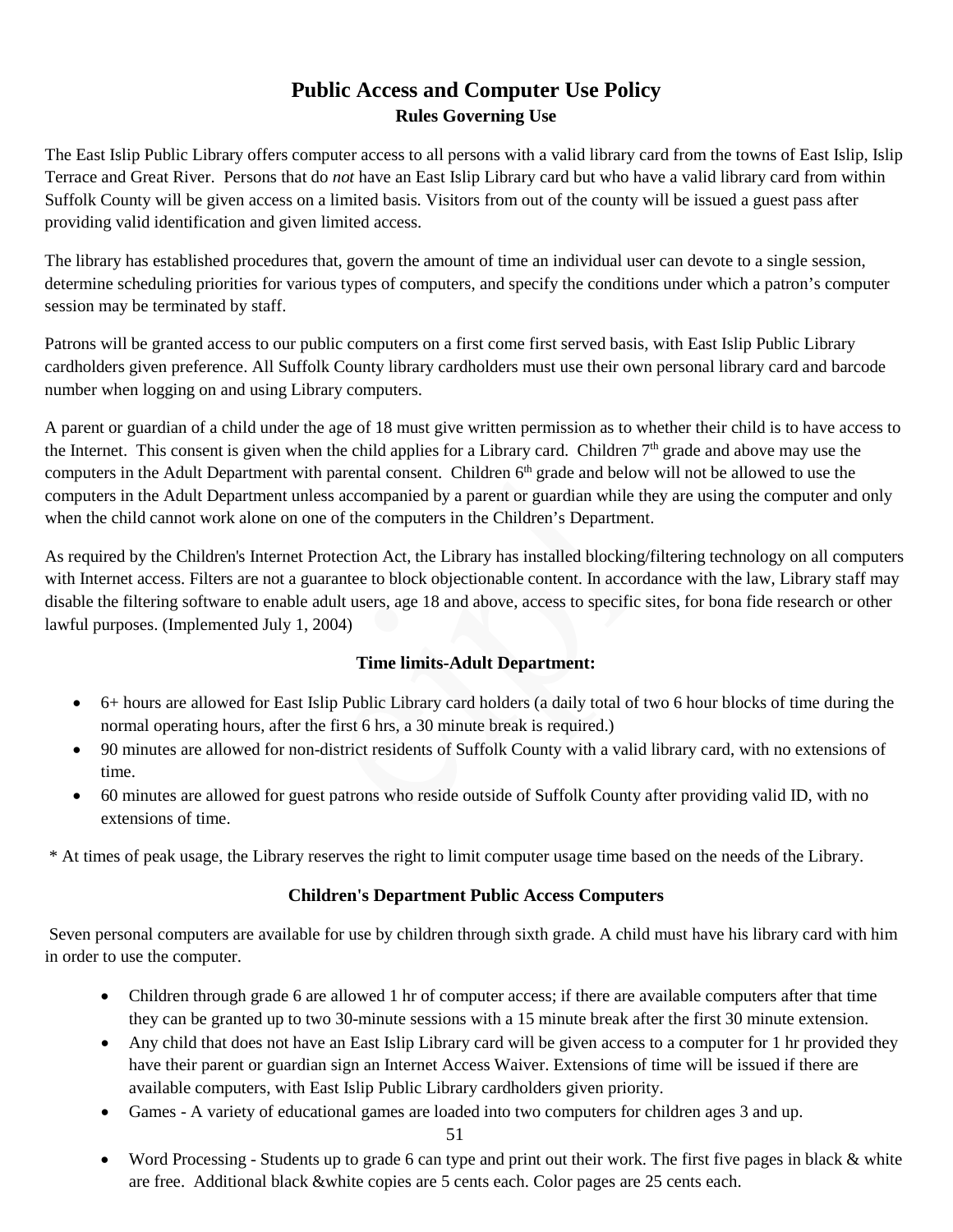# **Public Access and Computer Use Policy Rules Governing Use**

The East Islip Public Library offers computer access to all persons with a valid library card from the towns of East Islip, Islip Terrace and Great River. Persons that do *not* have an East Islip Library card but who have a valid library card from within Suffolk County will be given access on a limited basis. Visitors from out of the county will be issued a guest pass after providing valid identification and given limited access.

The library has established procedures that, govern the amount of time an individual user can devote to a single session, determine scheduling priorities for various types of computers, and specify the conditions under which a patron's computer session may be terminated by staff.

Patrons will be granted access to our public computers on a first come first served basis, with East Islip Public Library cardholders given preference. All Suffolk County library cardholders must use their own personal library card and barcode number when logging on and using Library computers.

A parent or guardian of a child under the age of 18 must give written permission as to whether their child is to have access to the Internet. This consent is given when the child applies for a Library card. Children  $7<sup>th</sup>$  grade and above may use the computers in the Adult Department with parental consent. Children 6<sup>th</sup> grade and below will not be allowed to use the computers in the Adult Department unless accompanied by a parent or guardian while they are using the computer and only when the child cannot work alone on one of the computers in the Children's Department.

As required by the Children's Internet Protection Act, the Library has installed blocking/filtering technology on all computers with Internet access. Filters are not a guarantee to block objectionable content. In accordance with the law, Library staff may disable the filtering software to enable adult users, age 18 and above, access to specific sites, for bona fide research or other lawful purposes. (Implemented July 1, 2004)

## **Time limits-Adult Department:**

- 6+ hours are allowed for East Islip Public Library card holders (a daily total of two 6 hour blocks of time during the normal operating hours, after the first 6 hrs, a 30 minute break is required.)
- 90 minutes are allowed for non-district residents of Suffolk County with a valid library card, with no extensions of time.
- 60 minutes are allowed for guest patrons who reside outside of Suffolk County after providing valid ID, with no extensions of time.

\* At times of peak usage, the Library reserves the right to limit computer usage time based on the needs of the Library.

## **Children's Department Public Access Computers**

Seven personal computers are available for use by children through sixth grade. A child must have his library card with him in order to use the computer.

- Children through grade 6 are allowed 1 hr of computer access; if there are available computers after that time they can be granted up to two 30-minute sessions with a 15 minute break after the first 30 minute extension.
- Any child that does not have an East Islip Library card will be given access to a computer for 1 hr provided they have their parent or guardian sign an Internet Access Waiver. Extensions of time will be issued if there are available computers, with East Islip Public Library cardholders given priority.
- Games A variety of educational games are loaded into two computers for children ages 3 and up.

• Word Processing - Students up to grade 6 can type and print out their work. The first five pages in black & white are free. Additional black &white copies are 5 cents each. Color pages are 25 cents each.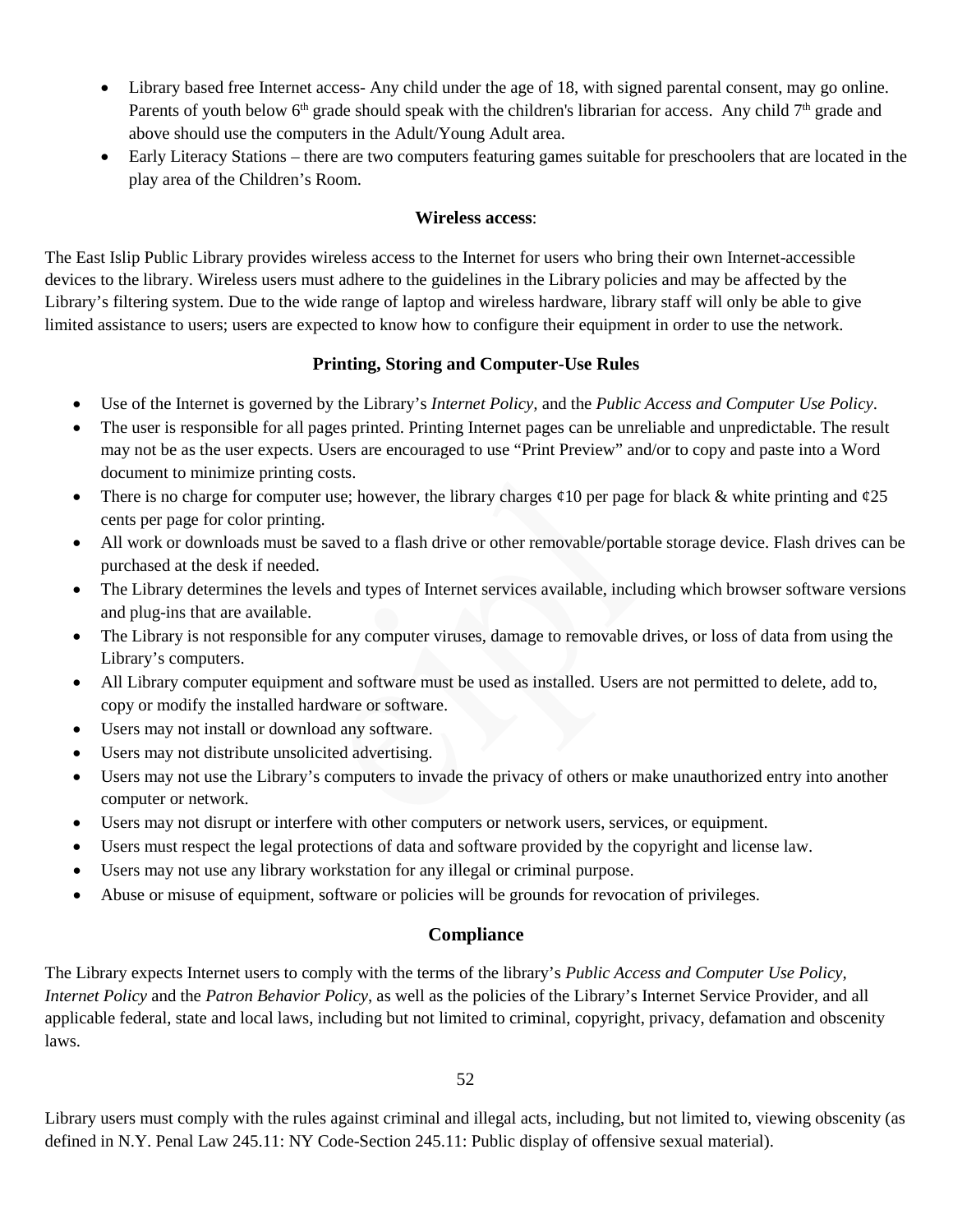- Library based free Internet access- Any child under the age of 18, with signed parental consent, may go online. Parents of youth below  $6<sup>th</sup>$  grade should speak with the children's librarian for access. Any child  $7<sup>th</sup>$  grade and above should use the computers in the Adult/Young Adult area.
- Early Literacy Stations there are two computers featuring games suitable for preschoolers that are located in the play area of the Children's Room.

#### **Wireless access**:

The East Islip Public Library provides wireless access to the Internet for users who bring their own Internet-accessible devices to the library. Wireless users must adhere to the guidelines in the Library policies and may be affected by the Library's filtering system. Due to the wide range of laptop and wireless hardware, library staff will only be able to give limited assistance to users; users are expected to know how to configure their equipment in order to use the network.

### **Printing, Storing and Computer-Use Rules**

- Use of the Internet is governed by the Library's *Internet Policy,* and the *Public Access and Computer Use Policy*.
- The user is responsible for all pages printed. Printing Internet pages can be unreliable and unpredictable. The result may not be as the user expects. Users are encouraged to use "Print Preview" and/or to copy and paste into a Word document to minimize printing costs.
- There is no charge for computer use; however, the library charges  $\varphi$ 10 per page for black & white printing and  $\varphi$ 25 cents per page for color printing.
- All work or downloads must be saved to a flash drive or other removable/portable storage device. Flash drives can be purchased at the desk if needed.
- The Library determines the levels and types of Internet services available, including which browser software versions and plug-ins that are available.
- The Library is not responsible for any computer viruses, damage to removable drives, or loss of data from using the Library's computers.
- All Library computer equipment and software must be used as installed. Users are not permitted to delete, add to, copy or modify the installed hardware or software.
- Users may not install or download any software.
- Users may not distribute unsolicited advertising.
- Users may not use the Library's computers to invade the privacy of others or make unauthorized entry into another computer or network.
- Users may not disrupt or interfere with other computers or network users, services, or equipment.
- Users must respect the legal protections of data and software provided by the copyright and license law.
- Users may not use any library workstation for any illegal or criminal purpose.
- Abuse or misuse of equipment, software or policies will be grounds for revocation of privileges.

### **Compliance**

The Library expects Internet users to comply with the terms of the library's *Public Access and Computer Use Policy, Internet Policy* and the *Patron Behavior Policy*, as well as the policies of the Library's Internet Service Provider, and all applicable federal, state and local laws, including but not limited to criminal, copyright, privacy, defamation and obscenity laws.

52

Library users must comply with the rules against criminal and illegal acts, including, but not limited to, viewing obscenity (as defined in N.Y. Penal Law 245.11: NY Code-Section 245.11: Public display of offensive sexual material).